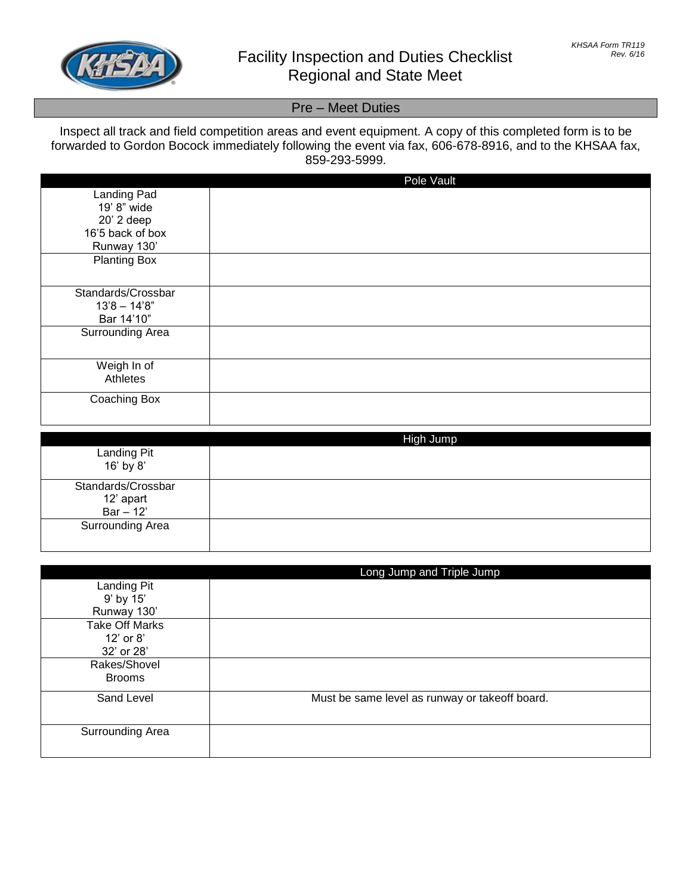

## Pre – Meet Duties

## Inspect all track and field competition areas and event equipment. A copy of this completed form is to be forwarded to Gordon Bocock immediately following the event via fax, 606-678-8916, and to the KHSAA fax, 859-293-5999.

|                            | Pole Vault |
|----------------------------|------------|
| Landing Pad<br>19' 8" wide |            |
| 20' 2 deep                 |            |
| 16'5 back of box           |            |
| Runway 130'                |            |
| <b>Planting Box</b>        |            |
| Standards/Crossbar         |            |
| $13'8 - 14'8"$             |            |
| Bar 14'10"                 |            |
| Surrounding Area           |            |
| Weigh In of                |            |
| Athletes                   |            |
| Coaching Box               |            |

|                                                | High Jump |
|------------------------------------------------|-----------|
| Landing Pit<br>16' by 8'                       |           |
| Standards/Crossbar<br>12' apart<br>$Bar - 12'$ |           |
| Surrounding Area                               |           |

|                       | Long Jump and Triple Jump                      |
|-----------------------|------------------------------------------------|
| Landing Pit           |                                                |
| 9' by 15'             |                                                |
| Runway 130'           |                                                |
| <b>Take Off Marks</b> |                                                |
| $12'$ or $8'$         |                                                |
| 32' or 28'            |                                                |
| Rakes/Shovel          |                                                |
| <b>Brooms</b>         |                                                |
| Sand Level            | Must be same level as runway or takeoff board. |
|                       |                                                |
| Surrounding Area      |                                                |
|                       |                                                |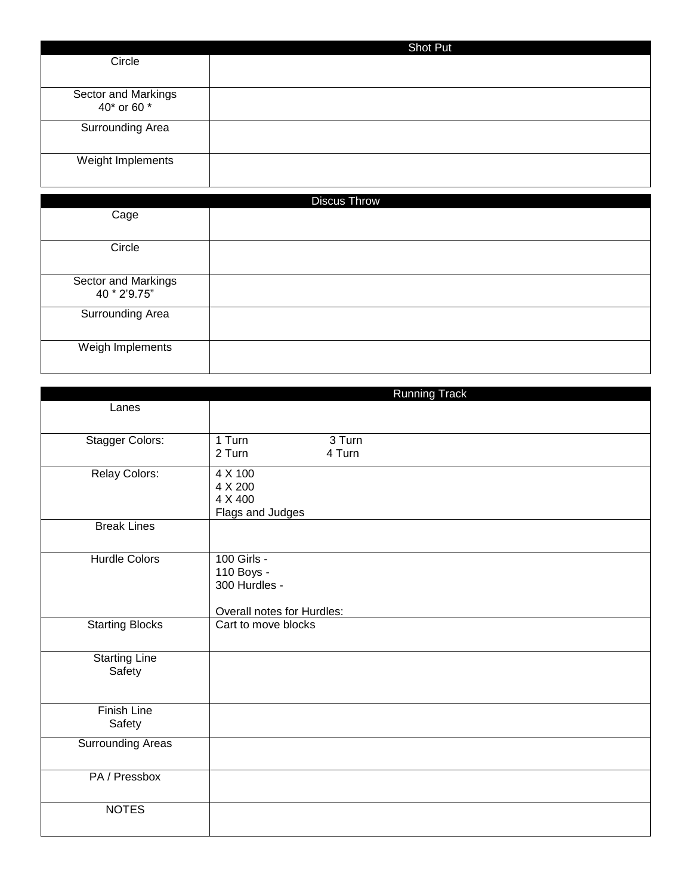|                                    | Shot Put |
|------------------------------------|----------|
| Circle                             |          |
|                                    |          |
| Sector and Markings<br>40* or 60 * |          |
| Surrounding Area                   |          |
| Weight Implements                  |          |

| <b>Discus Throw</b>     |  |
|-------------------------|--|
| Cage                    |  |
|                         |  |
| Circle                  |  |
|                         |  |
| Sector and Markings     |  |
| 40 * 2'9.75"            |  |
| <b>Surrounding Area</b> |  |
|                         |  |
| Weigh Implements        |  |
|                         |  |

|                                | <b>Running Track</b>                                                     |
|--------------------------------|--------------------------------------------------------------------------|
| Lanes                          |                                                                          |
| Stagger Colors:                | 1 Turn<br>3 Turn<br>2 Turn<br>4 Turn                                     |
| Relay Colors:                  | 4 X 100<br>4 X 200<br>4 X 400<br>Flags and Judges                        |
| <b>Break Lines</b>             |                                                                          |
| <b>Hurdle Colors</b>           | 100 Girls -<br>110 Boys -<br>300 Hurdles -<br>Overall notes for Hurdles: |
| <b>Starting Blocks</b>         | Cart to move blocks                                                      |
| <b>Starting Line</b><br>Safety |                                                                          |
| <b>Finish Line</b><br>Safety   |                                                                          |
| <b>Surrounding Areas</b>       |                                                                          |
| PA / Pressbox                  |                                                                          |
| <b>NOTES</b>                   |                                                                          |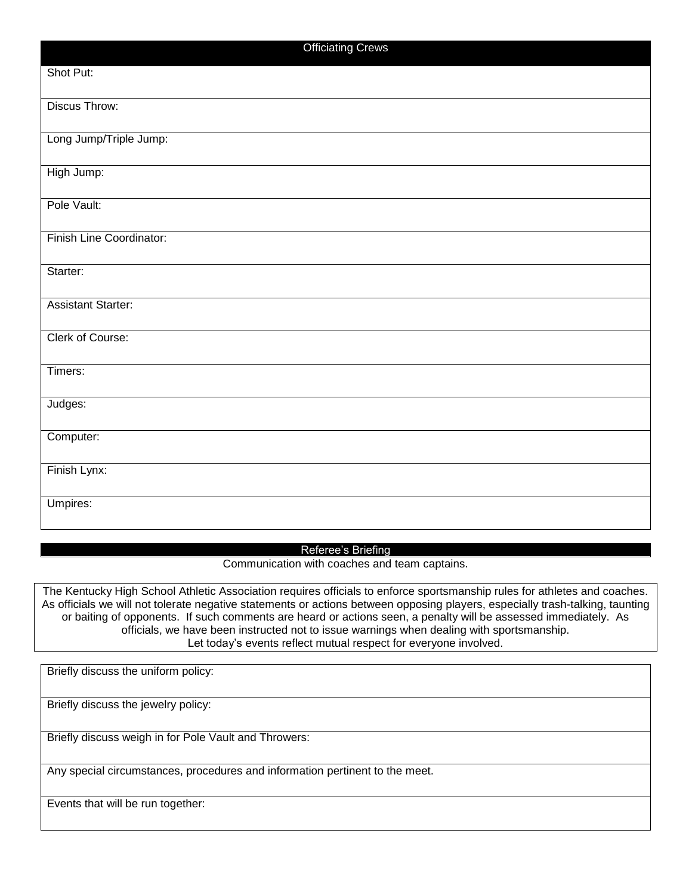| <b>Officiating Crews</b>  |
|---------------------------|
| Shot Put:                 |
| <b>Discus Throw:</b>      |
| Long Jump/Triple Jump:    |
| High Jump:                |
| Pole Vault:               |
| Finish Line Coordinator:  |
| Starter:                  |
| <b>Assistant Starter:</b> |
| Clerk of Course:          |
| Timers:                   |
| Judges:                   |
| Computer:                 |
| Finish Lynx:              |
| Umpires:                  |

## Referee's Briefing

Communication with coaches and team captains.

The Kentucky High School Athletic Association requires officials to enforce sportsmanship rules for athletes and coaches. As officials we will not tolerate negative statements or actions between opposing players, especially trash-talking, taunting or baiting of opponents. If such comments are heard or actions seen, a penalty will be assessed immediately. As officials, we have been instructed not to issue warnings when dealing with sportsmanship. Let today's events reflect mutual respect for everyone involved.

Briefly discuss the uniform policy:

Briefly discuss the jewelry policy:

Briefly discuss weigh in for Pole Vault and Throwers:

Any special circumstances, procedures and information pertinent to the meet.

Events that will be run together: